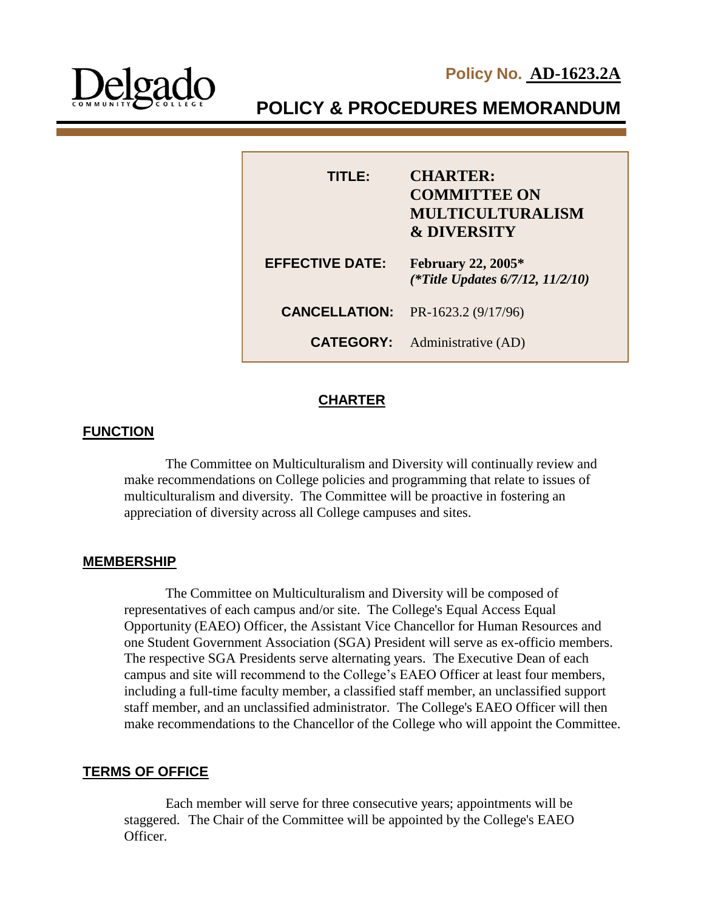



**POLICY & PROCEDURES MEMORANDUM**

| TITI E:                | <b>CHARTER:</b><br><b>COMMITTEE ON</b><br><b>MULTICULTURALISM</b><br><b>&amp; DIVERSITY</b> |
|------------------------|---------------------------------------------------------------------------------------------|
| <b>EFFECTIVE DATE:</b> | <b>February 22, 2005*</b><br>(*Title Updates $6/7/12$ , $11/2/10$ )                         |
| <b>CANCELLATION:</b>   | PR-1623.2 (9/17/96)                                                                         |
| <b>CATEGORY:</b>       | Administrative (AD)                                                                         |

## **CHARTER**

I

# **FUNCTION**

The Committee on Multiculturalism and Diversity will continually review and make recommendations on College policies and programming that relate to issues of multiculturalism and diversity. The Committee will be proactive in fostering an appreciation of diversity across all College campuses and sites.

### **MEMBERSHIP**

The Committee on Multiculturalism and Diversity will be composed of representatives of each campus and/or site. The College's Equal Access Equal Opportunity (EAEO) Officer, the Assistant Vice Chancellor for Human Resources and one Student Government Association (SGA) President will serve as ex-officio members. The respective SGA Presidents serve alternating years. The Executive Dean of each campus and site will recommend to the College's EAEO Officer at least four members, including a full-time faculty member, a classified staff member, an unclassified support staff member, and an unclassified administrator. The College's EAEO Officer will then make recommendations to the Chancellor of the College who will appoint the Committee.

# **TERMS OF OFFICE**

Each member will serve for three consecutive years; appointments will be staggered. The Chair of the Committee will be appointed by the College's EAEO Officer.